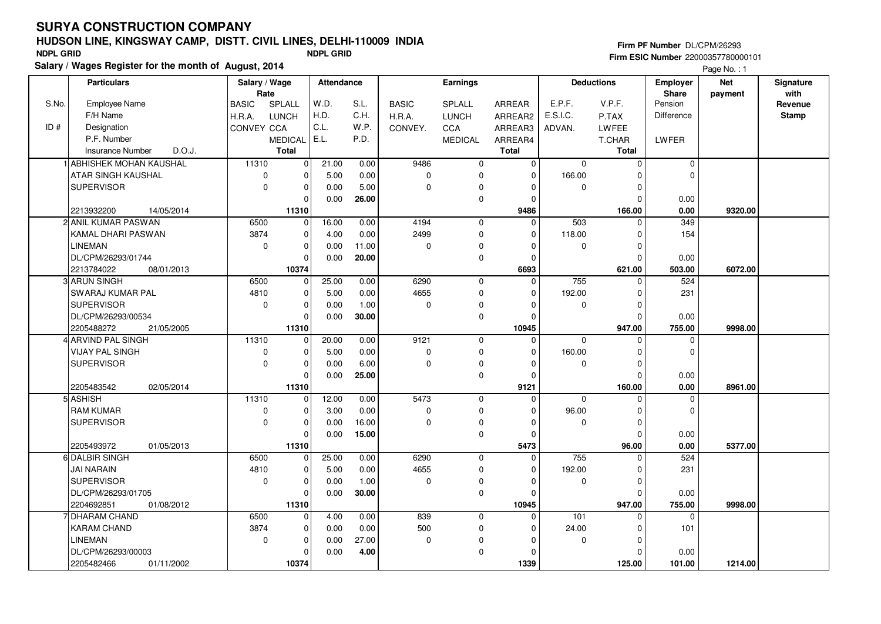# **HUDSON LINE, KINGSWAY CAMP, DISTT. CIVIL LINES, DELHI-110009 INDIA**

10374

**Salary / Wages Register for the month of August, 2014 NDPL GRID NDPL GRID**

01/11/2002

2205482466 **10374**

|       | Salary / Wage<br><b>Particulars</b><br>Rate |              | <b>Attendance</b> |       |       | Earnings     |                |              | <b>Deductions</b> | Employer<br><b>Share</b> | <b>Net</b><br>payment | Signature<br>with |         |
|-------|---------------------------------------------|--------------|-------------------|-------|-------|--------------|----------------|--------------|-------------------|--------------------------|-----------------------|-------------------|---------|
| S.No. | <b>Employee Name</b>                        | BASIC        | SPLALL            | W.D.  | S.L.  | <b>BASIC</b> | SPLALL         | ARREAR       | E.P.F.            | V.P.F.                   | Pension               |                   | Revenue |
|       | F/H Name                                    | H.R.A.       | <b>LUNCH</b>      | H.D.  | C.H.  | H.R.A.       | <b>LUNCH</b>   | ARREAR2      | E.S.I.C.          | P.TAX                    | Difference            |                   | Stamp   |
| ID#   | Designation                                 | CONVEY CCA   |                   | C.L.  | W.P.  | CONVEY.      | <b>CCA</b>     | ARREAR3      | ADVAN.            | LWFEE                    |                       |                   |         |
|       | P.F. Number                                 |              | <b>MEDICAL</b>    | E.L.  | P.D.  |              | <b>MEDICAL</b> | ARREAR4      |                   | T.CHAR                   | LWFER                 |                   |         |
|       | <b>Insurance Number</b><br>D.O.J.           |              | <b>Total</b>      |       |       |              |                | Total        |                   | <b>Total</b>             |                       |                   |         |
|       | 1 ABHISHEK MOHAN KAUSHAL                    | 11310        | $\Omega$          | 21.00 | 0.00  | 9486         | $\mathbf 0$    | $\Omega$     | $\Omega$          | $\Omega$                 | $\Omega$              |                   |         |
|       | ATAR SINGH KAUSHAL                          | $\mathbf 0$  | $\Omega$          | 5.00  | 0.00  | $\mathbf 0$  | $\mathbf 0$    | $\mathbf{0}$ | 166.00            | $\Omega$                 | $\mathbf 0$           |                   |         |
|       | <b>SUPERVISOR</b>                           | $\Omega$     | 0                 | 0.00  | 5.00  | $\mathbf 0$  | $\mathbf 0$    | $\mathbf{0}$ | $\Omega$          | $\mathbf 0$              |                       |                   |         |
|       |                                             |              | $\Omega$          | 0.00  | 26.00 |              | $\mathbf 0$    | $\Omega$     |                   | $\Omega$                 | 0.00                  |                   |         |
|       | 14/05/2014<br>2213932200                    |              | 11310             |       |       |              |                | 9486         |                   | 166.00                   | 0.00                  | 9320.00           |         |
|       | 2 ANIL KUMAR PASWAN                         | 6500         | $\Omega$          | 16.00 | 0.00  | 4194         | $\mathbf{0}$   | $\mathbf{0}$ | 503               | $\Omega$                 | 349                   |                   |         |
|       | KAMAL DHARI PASWAN                          | 3874         | $\Omega$          | 4.00  | 0.00  | 2499         | $\mathbf 0$    | $\mathbf{0}$ | 118.00            | $\mathbf 0$              | 154                   |                   |         |
|       | <b>LINEMAN</b>                              | $\mathbf{0}$ | $\Omega$          | 0.00  | 11.00 | $\mathbf 0$  | $\mathbf 0$    | $\mathbf{0}$ | $\Omega$          | $\mathbf 0$              |                       |                   |         |
|       | DL/CPM/26293/01744                          |              | $\Omega$          | 0.00  | 20.00 |              | $\mathbf 0$    | $\mathbf{0}$ |                   | $\Omega$                 | 0.00                  |                   |         |
|       | 2213784022<br>08/01/2013                    |              | 10374             |       |       |              |                | 6693         |                   | 621.00                   | 503.00                | 6072.00           |         |
|       | 3 ARUN SINGH                                | 6500         | $\Omega$          | 25.00 | 0.00  | 6290         | $\mathbf{0}$   | $\mathbf{0}$ | 755               | $\Omega$                 | 524                   |                   |         |
|       | <b>SWARAJ KUMAR PAL</b>                     | 4810         | $\Omega$          | 5.00  | 0.00  | 4655         | $\mathbf 0$    | $\mathbf{0}$ | 192.00            | $\Omega$                 | 231                   |                   |         |
|       | <b>SUPERVISOR</b>                           | $\mathbf{0}$ | 0                 | 0.00  | 1.00  | $\mathbf 0$  | $\mathbf 0$    | $\mathbf{0}$ | $\Omega$          | $\mathbf 0$              |                       |                   |         |
|       | DL/CPM/26293/00534                          |              | 0                 | 0.00  | 30.00 |              | $\mathbf 0$    | $\mathbf{0}$ |                   | $\mathbf 0$              | 0.00                  |                   |         |
|       | 2205488272<br>21/05/2005                    |              | 11310             |       |       |              |                | 10945        |                   | 947.00                   | 755.00                | 9998.00           |         |
|       | 4 ARVIND PAL SINGH                          | 11310        | $\Omega$          | 20.00 | 0.00  | 9121         | $\mathbf 0$    | $\mathbf 0$  | $\Omega$          | $\Omega$                 | $\mathbf 0$           |                   |         |
|       | <b>VIJAY PAL SINGH</b>                      | $\mathbf 0$  | $\Omega$          | 5.00  | 0.00  | $\mathbf 0$  | $\mathbf 0$    | $\mathbf{0}$ | 160.00            | $\mathbf 0$              | $\Omega$              |                   |         |
|       | <b>SUPERVISOR</b>                           | $\mathbf{0}$ | $\Omega$          | 0.00  | 6.00  | $\mathbf 0$  | $\mathbf 0$    | $\mathbf{0}$ | $\Omega$          | $\mathbf 0$              |                       |                   |         |
|       |                                             |              | $\mathbf{0}$      | 0.00  | 25.00 |              | $\mathbf 0$    | $\mathbf{0}$ |                   | $\mathbf 0$              | 0.00                  |                   |         |
|       | 02/05/2014<br>2205483542                    |              | 11310             |       |       |              |                | 9121         |                   | 160.00                   | 0.00                  | 8961.00           |         |
|       | 5 ASHISH                                    | 11310        | $\Omega$          | 12.00 | 0.00  | 5473         | $\mathbf 0$    | $\mathbf 0$  | $\mathbf{0}$      | $\Omega$                 | $\mathbf 0$           |                   |         |
|       | <b>RAM KUMAR</b>                            | $\mathbf 0$  | 0                 | 3.00  | 0.00  | $\mathbf 0$  | $\mathbf 0$    | $\mathbf{0}$ | 96.00             | $\Omega$                 | $\Omega$              |                   |         |
|       | <b>SUPERVISOR</b>                           | 0            | 0                 | 0.00  | 16.00 | $\mathbf 0$  | $\mathbf 0$    | $\mathbf 0$  | $\Omega$          | $\mathbf 0$              |                       |                   |         |
|       |                                             |              | $\mathbf 0$       | 0.00  | 15.00 |              | $\mathbf 0$    | $\mathbf{0}$ |                   | $\mathbf 0$              | 0.00                  |                   |         |
|       | 01/05/2013<br>2205493972                    |              | 11310             |       |       |              |                | 5473         |                   | 96.00                    | 0.00                  | 5377.00           |         |
|       | 6 DALBIR SINGH                              | 6500         | $\Omega$          | 25.00 | 0.00  | 6290         | $\mathbf 0$    | $\mathbf{0}$ | 755               | $\mathbf 0$              | 524                   |                   |         |
|       | JAI NARAIN                                  | 4810         | 0                 | 5.00  | 0.00  | 4655         | $\mathbf 0$    | $\mathbf 0$  | 192.00            | 0                        | 231                   |                   |         |
|       | <b>SUPERVISOR</b>                           | $\mathbf{0}$ | 0                 | 0.00  | 1.00  | 0            | $\mathbf 0$    | $\mathbf{0}$ | $\mathbf 0$       | $\Omega$                 |                       |                   |         |
|       | DL/CPM/26293/01705                          |              | $\Omega$          | 0.00  | 30.00 |              | $\mathbf 0$    | $\mathbf{0}$ |                   | $\mathbf 0$              | 0.00                  |                   |         |
|       | 2204692851<br>01/08/2012                    |              | 11310             |       |       |              |                | 10945        |                   | 947.00                   | 755.00                | 9998.00           |         |
|       | 7 DHARAM CHAND                              | 6500         | $\Omega$          | 4.00  | 0.00  | 839          | 0              | $\mathbf 0$  | 101               | $\Omega$                 | 0                     |                   |         |
|       | <b>KARAM CHAND</b>                          | 3874         | $\Omega$          | 0.00  | 0.00  | 500          | $\mathbf 0$    | $\mathbf{0}$ | 24.00             | $\Omega$                 | 101                   |                   |         |
|       | LINEMAN                                     | $\Omega$     | $\Omega$          | 0.00  | 27.00 | $\Omega$     | $\Omega$       | $\mathbf{0}$ | $\Omega$          | $\Omega$                 |                       |                   |         |
|       | DL/CPM/26293/00003                          |              | $\Omega$          | 0.00  | 4.00  |              | $\Omega$       | $\mathbf 0$  |                   | $\mathbf 0$              | 0.00                  |                   |         |

01/11/2002 **| 10374 | 1339 | 125.00 | 101.00** 

 **1339**

125.00

101.00

 **125.00 1214.00**

#### **Firm PF Number** DL/CPM/26293 **Firm ESIC Number** 22000357780000101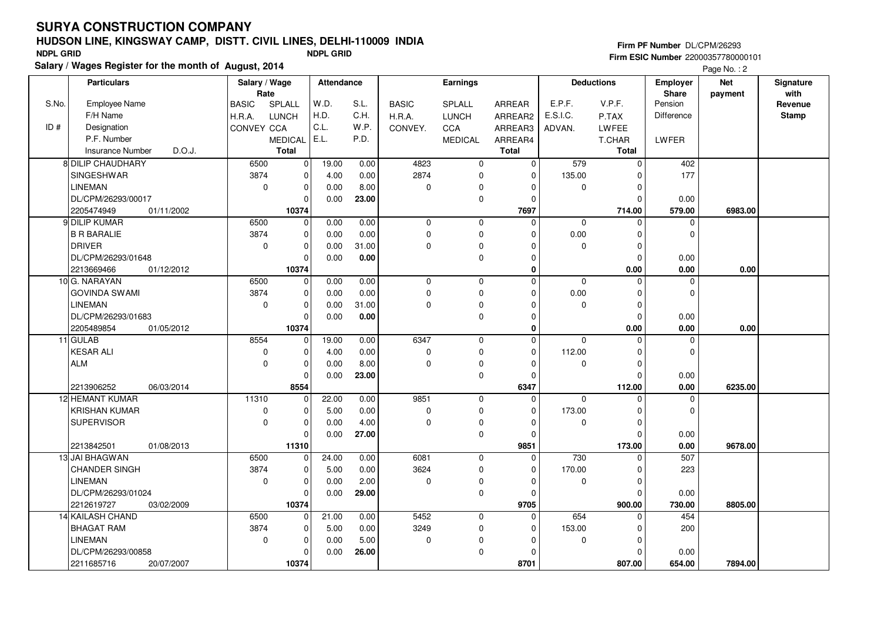# **HUDSON LINE, KINGSWAY CAMP, DISTT. CIVIL LINES, DELHI-110009 INDIA**

**Salary / Wages Register for the month of August, 2014 NDPL GRID NDPL GRID**

|       |                                   |                       |                |            |       |              |              |              |              |                   | $i$ ayd $iv$ . $i$              |                       |                   |
|-------|-----------------------------------|-----------------------|----------------|------------|-------|--------------|--------------|--------------|--------------|-------------------|---------------------------------|-----------------------|-------------------|
|       | <b>Particulars</b>                | Salary / Wage<br>Rate |                | Attendance |       |              | Earnings     |              |              | <b>Deductions</b> | <b>Employer</b><br><b>Share</b> | <b>Net</b><br>payment | Signature<br>with |
| S.No. | Employee Name                     | <b>BASIC</b>          | SPLALL         | W.D.       | S.L.  | <b>BASIC</b> | SPLALL       | ARREAR       | E.P.F.       | V.P.F.            | Pension                         |                       | Revenue           |
|       | F/H Name                          | H.R.A.                | <b>LUNCH</b>   | H.D.       | C.H.  | H.R.A.       | <b>LUNCH</b> | ARREAR2      | E.S.I.C.     | P.TAX             | <b>Difference</b>               |                       | <b>Stamp</b>      |
| ID#   | Designation                       | CONVEY CCA            |                | C.L.       | W.P.  | CONVEY.      | CCA          | ARREAR3      | ADVAN.       | LWFEE             |                                 |                       |                   |
|       | P.F. Number                       |                       | <b>MEDICAL</b> | E.L.       | P.D.  |              | MEDICAL      | ARREAR4      |              | T.CHAR            | LWFER                           |                       |                   |
|       | <b>Insurance Number</b><br>D.O.J. |                       | <b>Total</b>   |            |       |              |              | <b>Total</b> |              | <b>Total</b>      |                                 |                       |                   |
|       | 8 DILIP CHAUDHARY                 | 6500                  | $\mathbf{0}$   | 19.00      | 0.00  | 4823         | $\mathbf 0$  | $\mathbf 0$  | 579          | $\mathbf 0$       | 402                             |                       |                   |
|       | <b>SINGESHWAR</b>                 | 3874                  | 0              | 4.00       | 0.00  | 2874         | 0            | $\mathbf 0$  | 135.00       | $\mathbf 0$       | 177                             |                       |                   |
|       | <b>LINEMAN</b>                    | $\Omega$              | $\Omega$       | 0.00       | 8.00  | $\Omega$     | $\mathbf 0$  | $\Omega$     | $\Omega$     | $\mathbf 0$       |                                 |                       |                   |
|       | DL/CPM/26293/00017                |                       | $\Omega$       | 0.00       | 23.00 |              | 0            | $\mathbf 0$  |              | $\mathbf 0$       | 0.00                            |                       |                   |
|       | 2205474949<br>01/11/2002          |                       | 10374          |            |       |              |              | 7697         |              | 714.00            | 579.00                          | 6983.00               |                   |
|       | 9 DILIP KUMAR                     | 6500                  | $\mathbf{0}$   | 0.00       | 0.00  | $\mathbf 0$  | $\mathbf 0$  | $\mathbf 0$  | $\Omega$     | $\Omega$          | $\Omega$                        |                       |                   |
|       | <b>B R BARALIE</b>                | 3874                  | $\Omega$       | 0.00       | 0.00  | $\mathbf 0$  | 0            | $\Omega$     | 0.00         | $\mathbf 0$       | $\Omega$                        |                       |                   |
|       | <b>DRIVER</b>                     | $\mathbf 0$           | $\mathbf 0$    | 0.00       | 31.00 | $\mathbf 0$  | 0            | $\mathbf 0$  | $\Omega$     | $\pmb{0}$         |                                 |                       |                   |
|       | DL/CPM/26293/01648                |                       | $\Omega$       | 0.00       | 0.00  |              | $\mathbf 0$  | $\mathbf 0$  |              | $\mathbf 0$       | 0.00                            |                       |                   |
|       | 2213669466<br>01/12/2012          |                       | 10374          |            |       |              |              | $\mathbf 0$  |              | 0.00              | 0.00                            | 0.00                  |                   |
|       | 10 G. NARAYAN                     | 6500                  | $\mathbf{0}$   | 0.00       | 0.00  | $\mathbf 0$  | $\mathbf 0$  | $\Omega$     | $\mathbf 0$  | $\mathbf 0$       | 0                               |                       |                   |
|       | <b>GOVINDA SWAMI</b>              | 3874                  | $\Omega$       | 0.00       | 0.00  | $\mathbf 0$  | $\mathbf 0$  | $\Omega$     | 0.00         | $\mathbf 0$       | $\Omega$                        |                       |                   |
|       | LINEMAN                           | $\mathbf 0$           | $\Omega$       | 0.00       | 31.00 | $\mathbf 0$  | 0            | $\Omega$     | $\mathbf 0$  | $\mathbf 0$       |                                 |                       |                   |
|       | DL/CPM/26293/01683                |                       | $\mathbf 0$    | 0.00       | 0.00  |              | 0            | $\mathbf 0$  |              | $\mathbf 0$       | 0.00                            |                       |                   |
|       | 2205489854<br>01/05/2012          |                       | 10374          |            |       |              |              | $\mathbf 0$  |              | 0.00              | 0.00                            | 0.00                  |                   |
|       | 11 GULAB                          | 8554                  | $\mathbf{0}$   | 19.00      | 0.00  | 6347         | $\mathbf 0$  | $\mathbf 0$  | $\mathbf 0$  | $\mathbf 0$       | 0                               |                       |                   |
|       | <b>KESAR ALI</b>                  | $\mathbf 0$           | $\Omega$       | 4.00       | 0.00  | 0            | 0            | $\Omega$     | 112.00       | 0                 | $\Omega$                        |                       |                   |
|       | <b>ALM</b>                        | $\mathbf 0$           | $\mathbf{0}$   | 0.00       | 8.00  | $\mathbf 0$  | $\mathbf 0$  | $\mathbf 0$  | $\mathbf 0$  | $\mathbf 0$       |                                 |                       |                   |
|       |                                   |                       | $\mathbf 0$    | 0.00       | 23.00 |              | $\pmb{0}$    | $\mathbf 0$  |              | $\mathbf 0$       | 0.00                            |                       |                   |
|       | 2213906252<br>06/03/2014          |                       | 8554           |            |       |              |              | 6347         |              | 112.00            | 0.00                            | 6235.00               |                   |
|       | 12 HEMANT KUMAR                   | 11310                 | $\Omega$       | 22.00      | 0.00  | 9851         | $\mathbf 0$  | $\Omega$     | $\mathbf{0}$ | $\Omega$          | $\Omega$                        |                       |                   |
|       | <b>KRISHAN KUMAR</b>              | $\pmb{0}$             | $\mathbf{0}$   | 5.00       | 0.00  | $\mathbf 0$  | 0            | $\mathbf 0$  | 173.00       | $\mathbf 0$       | 0                               |                       |                   |
|       | <b>SUPERVISOR</b>                 | $\Omega$              | $\mathbf{0}$   | 0.00       | 4.00  | $\Omega$     | $\mathbf 0$  | $\mathbf 0$  | $\mathbf 0$  | $\mathbf 0$       |                                 |                       |                   |
|       |                                   |                       | $\Omega$       | 0.00       | 27.00 |              | $\mathbf 0$  | $\mathbf 0$  |              | $\Omega$          | 0.00                            |                       |                   |
|       | 2213842501<br>01/08/2013          |                       | 11310          |            |       |              |              | 9851         |              | 173.00            | 0.00                            | 9678.00               |                   |
|       | 13 JAI BHAGWAN                    | 6500                  | 0              | 24.00      | 0.00  | 6081         | $\mathbf 0$  | $\Omega$     | 730          | $\mathbf 0$       | 507                             |                       |                   |
|       | <b>CHANDER SINGH</b>              | 3874                  | $\mathbf{0}$   | 5.00       | 0.00  | 3624         | 0            | $\mathbf 0$  | 170.00       | $\mathbf 0$       | 223                             |                       |                   |
|       | LINEMAN                           | $\mathbf 0$           | $\mathbf 0$    | 0.00       | 2.00  | $\mathbf 0$  | 0            | $\mathbf 0$  | 0            | $\mathbf 0$       |                                 |                       |                   |
|       | DL/CPM/26293/01024                |                       | $\Omega$       | 0.00       | 29.00 |              | $\mathbf 0$  | $\mathbf 0$  |              | $\mathbf 0$       | 0.00                            |                       |                   |
|       | 2212619727<br>03/02/2009          |                       | 10374          |            |       |              |              | 9705         |              | 900.00            | 730.00                          | 8805.00               |                   |
|       | 14 KAILASH CHAND                  | 6500                  | $\mathbf{0}$   | 21.00      | 0.00  | 5452         | 0            | $\mathbf 0$  | 654          | 0                 | 454                             |                       |                   |
|       | <b>BHAGAT RAM</b>                 | 3874                  | $\mathbf{0}$   | 5.00       | 0.00  | 3249         | 0            | $\mathbf 0$  | 153.00       | $\mathbf 0$       | 200                             |                       |                   |
|       | <b>LINEMAN</b>                    | $\mathbf 0$           | $\Omega$       | 0.00       | 5.00  | $\mathbf 0$  | 0            | $\mathbf 0$  | $\Omega$     | $\Omega$          |                                 |                       |                   |
|       | DL/CPM/26293/00858                |                       | $\Omega$       | 0.00       | 26.00 |              | $\mathbf 0$  | $\mathbf 0$  |              | $\Omega$          | 0.00                            |                       |                   |
|       | 2211685716<br>20/07/2007          |                       | 10374          |            |       |              |              | 8701         |              | 807.00            | 654.00                          | 7894.00               |                   |

**Firm PF Number** DL/CPM/26293 **Firm ESIC Number** 22000357780000101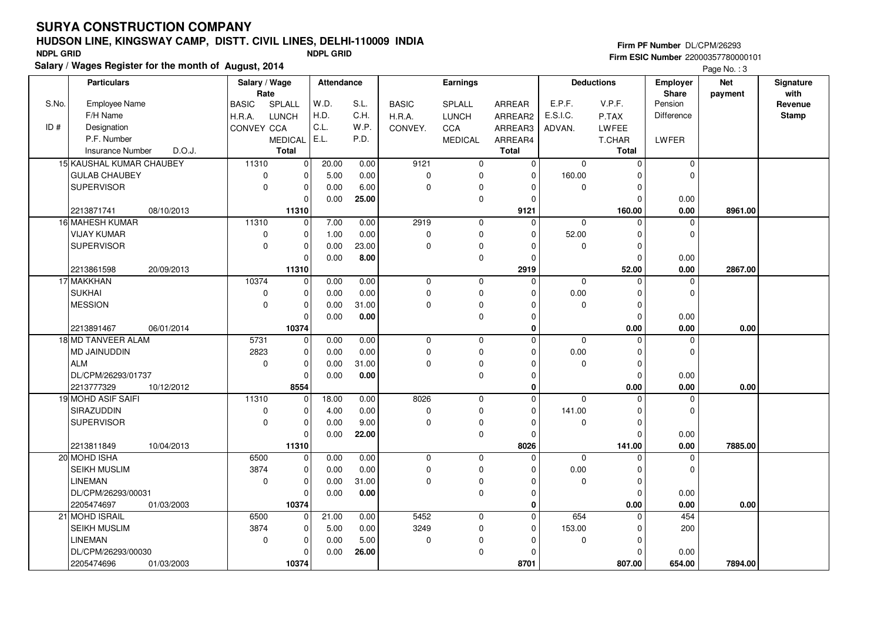# **HUDSON LINE, KINGSWAY CAMP, DISTT. CIVIL LINES, DELHI-110009 INDIA**

**Salary / Wages Register for the month of August, 2014 NDPL GRID NDPL GRID**

|       |                                                |                            |              |              |                  |                  |                            |                     |                         |                                 | raye ivu              |                   |  |  |
|-------|------------------------------------------------|----------------------------|--------------|--------------|------------------|------------------|----------------------------|---------------------|-------------------------|---------------------------------|-----------------------|-------------------|--|--|
|       | <b>Particulars</b>                             | Salary / Wage<br>Rate      | Attendance   |              |                  | <b>Earnings</b>  |                            |                     | <b>Deductions</b>       | <b>Employer</b><br><b>Share</b> | <b>Net</b><br>payment | Signature<br>with |  |  |
| S.No. | <b>Employee Name</b>                           | SPLALL<br><b>BASIC</b>     | W.D.         | S.L.         | <b>BASIC</b>     | SPLALL           | ARREAR                     | E.P.F.              | V.P.F.                  | Pension                         |                       | Revenue           |  |  |
|       | F/H Name                                       | H.R.A.<br><b>LUNCH</b>     | H.D.         | C.H.         | H.R.A.           | <b>LUNCH</b>     | ARREAR2                    | E.S.I.C.            | P.TAX                   | <b>Difference</b>               |                       | Stamp             |  |  |
| ID#   | Designation                                    | CONVEY CCA                 | C.L.         | W.P.         | CONVEY.          | <b>CCA</b>       | ARREAR3                    | ADVAN.              | LWFEE                   |                                 |                       |                   |  |  |
|       | P.F. Number                                    | <b>MEDICAL</b>             | E.L.         | P.D.         |                  | <b>MEDICAL</b>   | ARREAR4                    |                     | T.CHAR                  | LWFER                           |                       |                   |  |  |
|       | D.O.J.<br><b>Insurance Number</b>              | <b>Total</b>               |              |              |                  |                  | <b>Total</b>               |                     | <b>Total</b>            |                                 |                       |                   |  |  |
|       | 15 KAUSHAL KUMAR CHAUBEY                       | 11310<br>$\mathbf 0$       | 20.00        | 0.00         | 9121             | $\mathbf 0$      | $\mathbf 0$                | $\mathbf 0$         | $\mathbf 0$             | 0                               |                       |                   |  |  |
|       | <b>GULAB CHAUBEY</b>                           | 0<br>0                     | 5.00         | 0.00         | $\Omega$         | 0                | $\mathbf 0$                | 160.00              | $\Omega$                | $\mathbf 0$                     |                       |                   |  |  |
|       | SUPERVISOR                                     | $\Omega$<br>$\Omega$       | 0.00         | 6.00         | $\Omega$         | 0                | $\Omega$                   | $\Omega$            | $\mathbf 0$             |                                 |                       |                   |  |  |
|       |                                                | $\Omega$                   | 0.00         | 25.00        |                  | 0                | $\mathbf 0$                |                     | $\Omega$                | 0.00                            |                       |                   |  |  |
|       | 2213871741<br>08/10/2013                       | 11310                      |              |              |                  |                  | 9121                       |                     | 160.00                  | 0.00                            | 8961.00               |                   |  |  |
|       | 16 MAHESH KUMAR                                | 11310<br>$\mathbf 0$       | 7.00         | 0.00         | 2919             | 0                | $\mathbf 0$                | $\Omega$            | $\Omega$                | $\mathbf 0$                     |                       |                   |  |  |
|       | <b>VIJAY KUMAR</b>                             | 0<br>$\Omega$              | 1.00         | 0.00         | $\Omega$         | 0                | $\mathbf 0$                | 52.00               | $\Omega$                | $\mathbf 0$                     |                       |                   |  |  |
|       | <b>SUPERVISOR</b>                              | $\Omega$<br>$\Omega$       | 0.00         | 23.00        | $\Omega$         | 0                | $\mathbf 0$                | $\Omega$            | $\mathbf 0$             |                                 |                       |                   |  |  |
|       |                                                | $\Omega$                   | 0.00         | 8.00         |                  | 0                | $\mathbf 0$                |                     | $\Omega$                | 0.00                            |                       |                   |  |  |
|       | 2213861598<br>20/09/2013                       | 11310                      |              |              |                  |                  | 2919                       |                     | 52.00                   | 0.00                            | 2867.00               |                   |  |  |
|       | 17 MAKKHAN                                     | 10374<br>$\Omega$          | 0.00         | 0.00         | 0                | $\mathbf 0$      | $\mathbf 0$                | $\mathbf 0$         | $\Omega$                | $\mathbf{0}$                    |                       |                   |  |  |
|       | <b>SUKHAI</b>                                  | 0<br>$\Omega$              | 0.00         | 0.00         | 0                | 0                | $\Omega$                   | 0.00                | $\mathbf 0$             | $\mathbf{0}$                    |                       |                   |  |  |
|       | <b>MESSION</b>                                 | $\mathbf 0$<br>$\Omega$    | 0.00         | 31.00        | $\mathbf 0$      | 0                | $\Omega$                   | $\mathbf 0$         | $\mathbf 0$             |                                 |                       |                   |  |  |
|       |                                                | $\Omega$                   | 0.00         | 0.00         |                  | 0                | $\mathbf 0$                |                     | $\mathbf 0$             | 0.00                            |                       |                   |  |  |
|       | 2213891467<br>06/01/2014                       | 10374                      |              |              |                  |                  | $\mathbf 0$                |                     | 0.00                    | 0.00                            | 0.00                  |                   |  |  |
|       | 18 MD TANVEER ALAM                             | 5731<br>$\Omega$           | 0.00         | 0.00         | $\mathbf 0$      | $\mathbf 0$      | $\Omega$                   | $\Omega$            | $\Omega$                | $\mathbf 0$                     |                       |                   |  |  |
|       | <b>MD JAINUDDIN</b>                            | 2823<br>$\Omega$           | 0.00         | 0.00         | 0                | 0                | $\Omega$                   | 0.00                | $\Omega$                | $\mathbf 0$                     |                       |                   |  |  |
|       | <b>ALM</b>                                     | $\mathbf 0$<br>$\mathbf 0$ | 0.00         | 31.00        | $\Omega$         | 0                | $\mathbf 0$                | $\mathbf 0$         | 0                       |                                 |                       |                   |  |  |
|       | DL/CPM/26293/01737                             | $\mathbf 0$                | 0.00         | 0.00         |                  | 0                | $\mathbf 0$                |                     | $\mathbf 0$             | 0.00                            |                       |                   |  |  |
|       | 2213777329<br>10/12/2012                       | 8554                       |              |              |                  |                  | $\mathbf 0$                |                     | 0.00                    | 0.00                            | 0.00                  |                   |  |  |
|       | 19 MOHD ASIF SAIFI                             | 11310<br>$\Omega$          | 18.00        | 0.00         | 8026             | 0                | $\mathbf 0$                | $\mathbf 0$         | $\Omega$                | 0                               |                       |                   |  |  |
|       | SIRAZUDDIN                                     | 0<br>$\Omega$              | 4.00         | 0.00         | $\Omega$         | 0                | $\Omega$                   | 141.00              | $\mathbf 0$             | $\mathbf 0$                     |                       |                   |  |  |
|       | <b>SUPERVISOR</b>                              | $\mathbf 0$<br>0           | 0.00         | 9.00         | $\mathbf 0$      | 0                | $\mathbf 0$                | $\mathbf 0$         | $\mathbf 0$             |                                 |                       |                   |  |  |
|       |                                                | $\Omega$                   | 0.00         | 22.00        |                  | 0                | $\Omega$                   |                     | $\Omega$                | 0.00                            |                       |                   |  |  |
|       | 10/04/2013<br>2213811849                       | 11310<br>$\Omega$          |              |              |                  |                  | 8026                       |                     | 141.00<br>$\Omega$      | 0.00                            | 7885.00               |                   |  |  |
|       | 20 MOHD ISHA<br><b>SEIKH MUSLIM</b>            | 6500<br>3874<br>$\Omega$   | 0.00<br>0.00 | 0.00<br>0.00 | 0                | 0<br>$\mathbf 0$ | $\mathbf 0$<br>$\Omega$    | $\mathbf 0$<br>0.00 | $\mathbf 0$             | $\mathbf 0$<br>$\mathbf 0$      |                       |                   |  |  |
|       | <b>LINEMAN</b>                                 | $\mathbf 0$<br>$\mathbf 0$ | 0.00         |              | 0<br>$\Omega$    | 0                | $\mathbf 0$                | $\mathbf{0}$        | $\mathbf 0$             |                                 |                       |                   |  |  |
|       |                                                | $\Omega$                   |              | 31.00        |                  |                  |                            |                     | $\Omega$                |                                 |                       |                   |  |  |
|       | DL/CPM/26293/00031<br>2205474697<br>01/03/2003 | 10374                      | 0.00         | 0.00         |                  | 0                | $\mathbf 0$<br>$\mathbf 0$ |                     | 0.00                    | 0.00<br>0.00                    | 0.00                  |                   |  |  |
|       | 21 MOHD ISRAIL                                 | $\Omega$                   |              |              | 5452             |                  | $\mathbf 0$                | 654                 |                         | 454                             |                       |                   |  |  |
|       |                                                | 6500<br>3874               | 21.00        | 0.00         |                  | 0                |                            |                     | $\mathbf 0$             |                                 |                       |                   |  |  |
|       | SEIKH MUSLIM<br><b>LINEMAN</b>                 | 0                          | 5.00         | 0.00         | 3249<br>$\Omega$ | 0                | $\mathbf 0$<br>$\Omega$    | 153.00              | $\mathbf 0$<br>$\Omega$ | 200                             |                       |                   |  |  |
|       |                                                | $\mathbf 0$<br>$\Omega$    | 0.00         | 5.00         |                  | 0                |                            | $\mathbf 0$         |                         |                                 |                       |                   |  |  |
|       | DL/CPM/26293/00030                             | $\Omega$                   | 0.00         | 26.00        |                  | 0                | $\mathbf 0$                |                     | $\Omega$                | 0.00                            |                       |                   |  |  |
|       | 2205474696<br>01/03/2003                       | 10374                      |              |              |                  |                  | 8701                       |                     | 807.00                  | 654.00                          | 7894.00               |                   |  |  |

**Firm PF Number** DL/CPM/26293 **Firm ESIC Number** 22000357780000101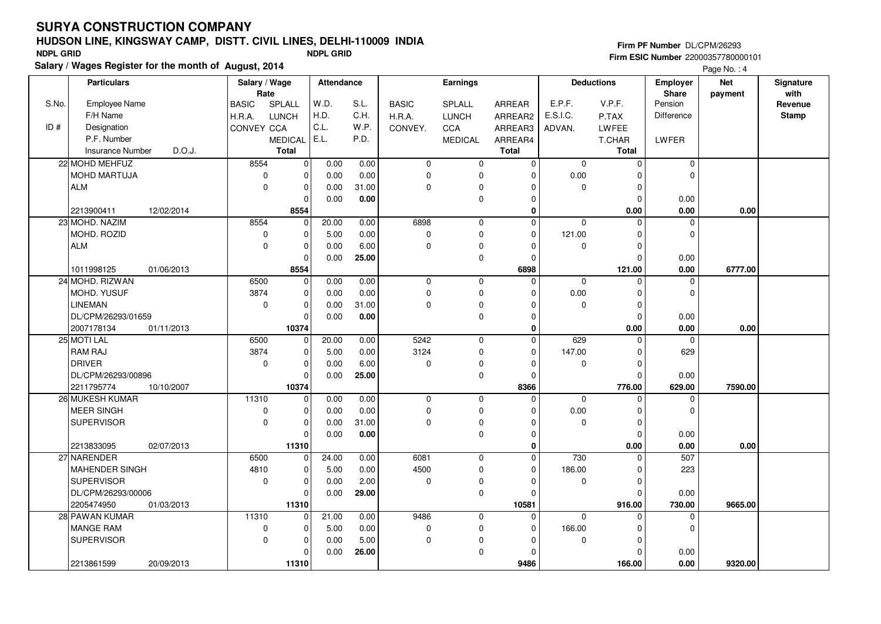# **HUDSON LINE, KINGSWAY CAMP, DISTT. CIVIL LINES, DELHI-110009 INDIA**

**Salary / Wages Register for the month of August, 2014 NDPL GRID NDPL GRID**

|       |                                   |                        |                |                   |       |              |                 |                  |             |                   |                                 | $1$ ago $1$ To $1$ $+$ |                   |
|-------|-----------------------------------|------------------------|----------------|-------------------|-------|--------------|-----------------|------------------|-------------|-------------------|---------------------------------|------------------------|-------------------|
|       | <b>Particulars</b>                | Salary / Wage<br>Rate  |                | <b>Attendance</b> |       |              | <b>Earnings</b> |                  |             | <b>Deductions</b> | <b>Employer</b><br><b>Share</b> | Net<br>payment         | Signature<br>with |
| S.No. | <b>Employee Name</b>              | SPLALL<br><b>BASIC</b> |                | W.D.              | S.L.  | <b>BASIC</b> | SPLALL          | ARREAR           | E.P.F.      | V.P.F.            | Pension                         |                        | Revenue           |
|       | F/H Name                          | H.R.A.<br><b>LUNCH</b> |                | H.D.              | C.H.  | H.R.A.       | <b>LUNCH</b>    | ARREAR2          | E.S.I.C.    | P.TAX             | Difference                      |                        | Stamp             |
| ID#   | Designation                       | <b>CONVEY CCA</b>      |                | C.L.              | W.P.  | CONVEY.      | CCA             | ARREAR3          | ADVAN.      | LWFEE             |                                 |                        |                   |
|       | P.F. Number                       | <b>MEDICAL</b>         |                | E.L.              | P.D.  |              | <b>MEDICAL</b>  | ARREAR4          |             | T.CHAR            | LWFER                           |                        |                   |
|       | <b>Insurance Number</b><br>D.O.J. | <b>Total</b>           |                |                   |       |              |                 | <b>Total</b>     |             | <b>Total</b>      |                                 |                        |                   |
|       | 22 MOHD MEHFUZ                    | 8554                   | $\overline{0}$ | 0.00              | 0.00  | $\mathbf 0$  | $\mathbf 0$     | $\mathbf 0$      | $\mathbf 0$ | $\pmb{0}$         | 0                               |                        |                   |
|       | MOHD MARTUJA                      | $\mathbf 0$            | $\mathbf 0$    | 0.00              | 0.00  | $\mathbf 0$  | $\mathbf 0$     | $\Omega$         | 0.00        | $\mathbf 0$       | 0                               |                        |                   |
|       | <b>ALM</b>                        | $\Omega$               | $\mathbf 0$    | 0.00              | 31.00 | $\mathbf 0$  | $\mathbf 0$     | $\Omega$         | $\Omega$    | $\mathbf 0$       |                                 |                        |                   |
|       |                                   |                        | $\Omega$       | 0.00              | 0.00  |              | $\mathbf 0$     | $\Omega$         |             | $\mathbf 0$       | 0.00                            |                        |                   |
|       | 2213900411<br>12/02/2014          |                        | 8554           |                   |       |              |                 | $\mathbf 0$      |             | 0.00              | 0.00                            | 0.00                   |                   |
|       | 23 MOHD. NAZIM                    | 8554                   | $\overline{0}$ | 20.00             | 0.00  | 6898         | $\mathbf 0$     | $\mathbf 0$      | $\mathbf 0$ | 0                 | 0                               |                        |                   |
|       | MOHD, ROZID                       | 0                      | $\mathbf 0$    | 5.00              | 0.00  | $\mathbf 0$  | $\mathbf 0$     | $\Omega$         | 121.00      | $\Omega$          | $\Omega$                        |                        |                   |
|       | <b>ALM</b>                        | $\mathbf 0$            | $\mathbf 0$    | 0.00              | 6.00  | $\mathbf 0$  | $\mathbf 0$     | $\overline{0}$   | $\mathbf 0$ | $\mathbf 0$       |                                 |                        |                   |
|       |                                   |                        | $\Omega$       | 0.00              | 25.00 |              | 0               | $\mathbf 0$      |             | $\Omega$          | 0.00                            |                        |                   |
|       | 1011998125<br>01/06/2013          |                        | 8554           |                   |       |              |                 | 6898             |             | 121.00            | 0.00                            | 6777.00                |                   |
|       | 24 MOHD. RIZWAN                   | 6500                   | $\overline{0}$ | 0.00              | 0.00  | $\mathbf 0$  | $\mathbf 0$     | $\mathbf 0$      | $\mathbf 0$ | $\Omega$          | 0                               |                        |                   |
|       | MOHD. YUSUF                       | 3874                   | $\mathbf 0$    | 0.00              | 0.00  | $\pmb{0}$    | $\mathbf 0$     | $\Omega$         | 0.00        | $\mathbf 0$       | $\Omega$                        |                        |                   |
|       | <b>LINEMAN</b>                    | $\mathbf 0$            | $\mathbf 0$    | 0.00              | 31.00 | $\mathbf 0$  | $\mathbf 0$     | $\Omega$         | $\mathbf 0$ | $\mathbf 0$       |                                 |                        |                   |
|       | DL/CPM/26293/01659                |                        | 0              | 0.00              | 0.00  |              | $\mathbf 0$     | 0                |             | $\mathbf 0$       | 0.00                            |                        |                   |
|       | 2007178134<br>01/11/2013          |                        | 10374          |                   |       |              |                 | $\mathbf{0}$     |             | 0.00              | 0.00                            | 0.00                   |                   |
|       | 25 MOTI LAL                       | 6500                   | 0              | 20.00             | 0.00  | 5242         | $\mathbf 0$     | $\Omega$         | 629         | $\Omega$          | $\Omega$                        |                        |                   |
|       | RAM RAJ                           | 3874                   | $\mathbf 0$    | 5.00              | 0.00  | 3124         | 0               | $\Omega$         | 147.00      | $\mathbf 0$       | 629                             |                        |                   |
|       | <b>DRIVER</b>                     | $\mathbf 0$            | $\mathbf 0$    |                   | 6.00  |              |                 | $\overline{0}$   |             |                   |                                 |                        |                   |
|       |                                   |                        |                | 0.00              |       | $\mathbf 0$  | 0               |                  | $\mathbf 0$ | $\pmb{0}$         |                                 |                        |                   |
|       | DL/CPM/26293/00896                |                        | $\mathbf 0$    | 0.00              | 25.00 |              | 0               | $\overline{0}$   |             | $\mathbf 0$       | 0.00                            |                        |                   |
|       | 2211795774<br>10/10/2007          |                        | 10374          |                   |       |              |                 | 8366<br>$\Omega$ |             | 776.00            | 629.00                          | 7590.00                |                   |
|       | 26 MUKESH KUMAR                   | 11310                  | $\mathbf 0$    | 0.00              | 0.00  | $\mathbf 0$  | $\mathbf 0$     |                  | $\mathbf 0$ | 0                 | $\mathbf 0$                     |                        |                   |
|       | <b>MEER SINGH</b>                 | 0                      | $\mathbf 0$    | 0.00              | 0.00  | $\mathbf 0$  | $\mathbf 0$     | $\overline{0}$   | 0.00        | $\mathbf 0$       | $\mathbf 0$                     |                        |                   |
|       | <b>SUPERVISOR</b>                 | $\mathbf 0$            | $\mathbf 0$    | 0.00              | 31.00 | $\mathbf 0$  | $\mathbf 0$     | $\Omega$         | $\mathbf 0$ | $\mathbf 0$       |                                 |                        |                   |
|       |                                   |                        | $\Omega$       | 0.00              | 0.00  |              | $\mathbf 0$     | $\Omega$         |             | $\mathbf 0$       | 0.00                            |                        |                   |
|       | 02/07/2013<br>2213833095          |                        | 11310          |                   |       |              |                 | $\mathbf 0$      |             | 0.00              | 0.00                            | 0.00                   |                   |
|       | 27 NARENDER                       | 6500                   | $\overline{0}$ | 24.00             | 0.00  | 6081         | $\mathbf 0$     | $\mathbf 0$      | 730         | $\mathbf 0$       | 507                             |                        |                   |
|       | <b>MAHENDER SINGH</b>             | 4810                   | $\mathbf 0$    | 5.00              | 0.00  | 4500         | 0               | $\overline{0}$   | 186.00      | $\mathbf 0$       | 223                             |                        |                   |
|       | <b>SUPERVISOR</b>                 | $\Omega$               | 0              | 0.00              | 2.00  | $\mathbf 0$  | 0               | $\Omega$         | 0           | $\mathbf 0$       |                                 |                        |                   |
|       | DL/CPM/26293/00006                |                        | $\Omega$       | 0.00              | 29.00 |              | 0               | $\Omega$         |             | $\mathbf 0$       | 0.00                            |                        |                   |
|       | 2205474950<br>01/03/2013          |                        | 11310          |                   |       |              |                 | 10581            |             | 916.00            | 730.00                          | 9665.00                |                   |
|       | 28 PAWAN KUMAR                    | 11310                  | $\mathbf 0$    | 21.00             | 0.00  | 9486         | $\mathbf 0$     | $\mathbf 0$      | $\mathbf 0$ | $\mathbf 0$       | 0                               |                        |                   |
|       | <b>MANGE RAM</b>                  | $\pmb{0}$              | $\mathbf 0$    | 5.00              | 0.00  | $\pmb{0}$    | 0               | $\overline{0}$   | 166.00      | $\mathbf 0$       | $\mathbf 0$                     |                        |                   |
|       | <b>SUPERVISOR</b>                 | $\Omega$               | $\mathbf 0$    | 0.00              | 5.00  | $\mathbf 0$  | $\mathbf 0$     | $\overline{0}$   | $\Omega$    | $\Omega$          |                                 |                        |                   |
|       |                                   |                        | $\Omega$       | 0.00              | 26.00 |              | 0               | 0                |             | $\Omega$          | 0.00                            |                        |                   |
|       | 2213861599<br>20/09/2013          |                        | 11310          |                   |       |              |                 | 9486             |             | 166.00            | 0.00                            | 9320.00                |                   |

#### **Firm PF Number** DL/CPM/26293 **Firm ESIC Number** 22000357780000101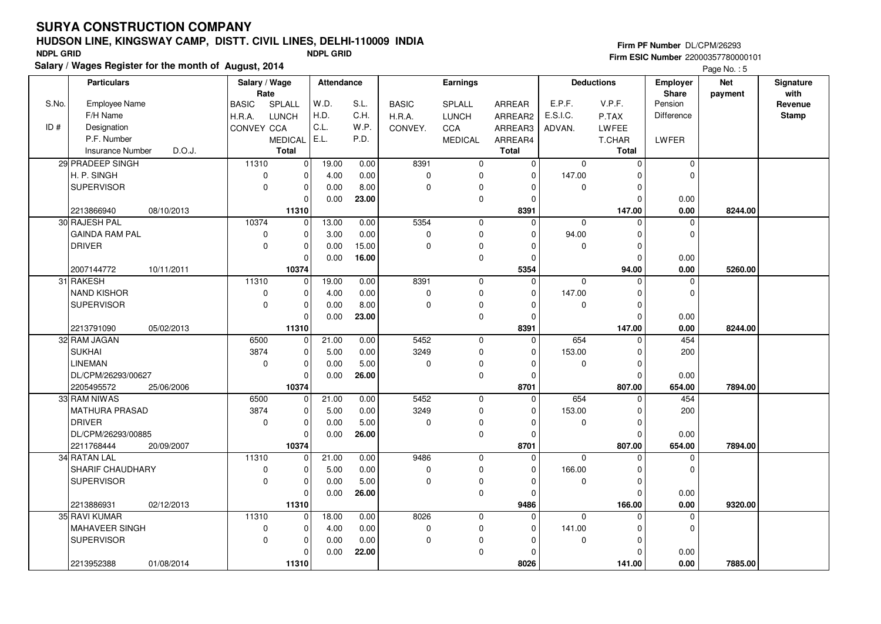# **HUDSON LINE, KINGSWAY CAMP, DISTT. CIVIL LINES, DELHI-110009 INDIA**

**Salary / Wages Register for the month of August, 2014 NDPL GRID NDPL GRID**

|       | <b>Particulars</b>                | Salary / Wage<br>Rate  |                | <b>Attendance</b> |       |              | <b>Earnings</b> |                |                | <b>Deductions</b> | <b>Employer</b><br>Share | <b>Net</b><br>payment | Signature<br>with |
|-------|-----------------------------------|------------------------|----------------|-------------------|-------|--------------|-----------------|----------------|----------------|-------------------|--------------------------|-----------------------|-------------------|
| S.No. | <b>Employee Name</b>              | SPLALL<br><b>BASIC</b> |                | W.D.              | S.L.  | <b>BASIC</b> | <b>SPLALL</b>   | ARREAR         | E.P.F.         | V.P.F.            | Pension                  |                       | Revenue           |
|       | F/H Name                          | H.R.A.<br><b>LUNCH</b> |                | H.D.              | C.H.  | H.R.A.       | <b>LUNCH</b>    | ARREAR2        | E.S.I.C.       | P.TAX             | Difference               |                       | Stamp             |
| ID#   | Designation                       | <b>CONVEY CCA</b>      |                | C.L.              | W.P.  | CONVEY.      | CCA             | ARREAR3        | ADVAN.         | <b>LWFEE</b>      |                          |                       |                   |
|       | P.F. Number                       | <b>MEDICAL</b>         |                | E.L.              | P.D.  |              | <b>MEDICAL</b>  | ARREAR4        |                | T.CHAR            | LWFER                    |                       |                   |
|       | D.O.J.<br><b>Insurance Number</b> | <b>Total</b>           |                |                   |       |              |                 | <b>Total</b>   |                | <b>Total</b>      |                          |                       |                   |
|       | 29 PRADEEP SINGH                  | 11310                  | $\mathbf 0$    | 19.00             | 0.00  | 8391         | $\mathbf 0$     | $\mathbf 0$    | $\mathbf 0$    | $\mathbf 0$       | 0                        |                       |                   |
|       | H. P. SINGH                       | 0                      | 0              | 4.00              | 0.00  | 0            | 0               | $\Omega$       | 147.00         | $\mathbf 0$       | 0                        |                       |                   |
|       | <b>SUPERVISOR</b>                 | $\Omega$               | $\Omega$       | 0.00              | 8.00  | $\Omega$     | $\mathbf 0$     | $\Omega$       | $\mathbf 0$    | $\mathbf 0$       |                          |                       |                   |
|       |                                   |                        | $\Omega$       | 0.00              | 23.00 |              | 0               | $\overline{0}$ |                | 0                 | 0.00                     |                       |                   |
|       | 2213866940<br>08/10/2013          |                        | 11310          |                   |       |              |                 | 8391           |                | 147.00            | 0.00                     | 8244.00               |                   |
|       | 30 RAJESH PAL                     | 10374                  | $\Omega$       | 13.00             | 0.00  | 5354         | $\mathbf 0$     | $\Omega$       | $\mathbf{0}$   | $\Omega$          | $\Omega$                 |                       |                   |
|       | <b>GAINDA RAM PAL</b>             | 0                      | $\mathbf 0$    | 3.00              | 0.00  | $\mathbf 0$  | $\mathbf 0$     | $\Omega$       | 94.00          | $\mathbf 0$       | $\mathbf 0$              |                       |                   |
|       | <b>DRIVER</b>                     | $\mathbf 0$            | $\mathbf 0$    | 0.00              | 15.00 | $\Omega$     | 0               | $\overline{0}$ | $\Omega$       | $\mathbf 0$       |                          |                       |                   |
|       |                                   |                        | $\mathbf 0$    | 0.00              | 16.00 |              | $\mathbf 0$     | $\overline{0}$ |                | $\mathbf 0$       | 0.00                     |                       |                   |
|       | 2007144772<br>10/11/2011          |                        | 10374          |                   |       |              |                 | 5354           |                | 94.00             | 0.00                     | 5260.00               |                   |
|       | 31 RAKESH                         | 11310                  | $\overline{0}$ | 19.00             | 0.00  | 8391         | $\mathbf 0$     | $\Omega$       | $\overline{0}$ | $\Omega$          | 0                        |                       |                   |
|       | <b>NAND KISHOR</b>                | 0                      | $\mathbf 0$    | 4.00              | 0.00  | $\mathbf 0$  | 0               | $\Omega$       | 147.00         | $\mathbf 0$       | $\Omega$                 |                       |                   |
|       | <b>SUPERVISOR</b>                 | $\Omega$               | $\mathbf 0$    | 0.00              | 8.00  | $\mathbf 0$  | 0               | $\overline{0}$ | $\mathbf 0$    | $\mathbf 0$       |                          |                       |                   |
|       |                                   |                        | $\mathbf 0$    | 0.00              | 23.00 |              | $\mathbf 0$     | $\overline{0}$ |                | $\mathbf 0$       | 0.00                     |                       |                   |
|       | 2213791090<br>05/02/2013          |                        | 11310          |                   |       |              |                 | 8391           |                | 147.00            | 0.00                     | 8244.00               |                   |
|       | 32 RAM JAGAN                      | 6500                   | 0              | 21.00             | 0.00  | 5452         | $\mathbf 0$     | $\Omega$       | 654            | $\mathbf 0$       | 454                      |                       |                   |
|       | <b>SUKHAI</b>                     | 3874                   | 0              | 5.00              | 0.00  | 3249         | 0               | $\Omega$       | 153.00         | $\mathbf 0$       | 200                      |                       |                   |
|       | <b>LINEMAN</b>                    | $\mathbf 0$            | $\mathbf 0$    | 0.00              | 5.00  | $\mathbf 0$  | 0               | $\mathbf 0$    | $\mathbf 0$    | $\mathbf 0$       |                          |                       |                   |
|       | DL/CPM/26293/00627                |                        | $\mathbf 0$    | 0.00              | 26.00 |              | $\mathbf 0$     | $\overline{0}$ |                | $\mathbf 0$       | 0.00                     |                       |                   |
|       | 2205495572<br>25/06/2006          |                        | 10374          |                   |       |              |                 | 8701           |                | 807.00            | 654.00                   | 7894.00               |                   |
|       | 33 RAM NIWAS                      | 6500                   | $\Omega$       | 21.00             | 0.00  | 5452         | $\mathbf 0$     | $\Omega$       | 654            | $\Omega$          | 454                      |                       |                   |
|       | <b>MATHURA PRASAD</b>             | 3874                   | $\mathbf 0$    | 5.00              | 0.00  | 3249         | $\mathbf 0$     | $\overline{0}$ | 153.00         | $\mathbf 0$       | 200                      |                       |                   |
|       | <b>DRIVER</b>                     | $\mathbf 0$            | 0              | 0.00              | 5.00  | $\mathbf 0$  | $\mathbf 0$     | $\mathbf 0$    | $\mathbf 0$    | $\mathbf 0$       |                          |                       |                   |
|       | DL/CPM/26293/00885                |                        | $\Omega$       | 0.00              | 26.00 |              | $\mathbf 0$     | $\Omega$       |                | $\Omega$          | 0.00                     |                       |                   |
|       | 2211768444<br>20/09/2007          |                        | 10374          |                   |       |              |                 | 8701           |                | 807.00            | 654.00                   | 7894.00               |                   |
|       | 34 RATAN LAL                      | 11310                  | 0              | 21.00             | 0.00  | 9486         | 0               | $\Omega$       | $\mathbf 0$    | 0                 | 0                        |                       |                   |
|       | SHARIF CHAUDHARY                  | $\pmb{0}$              | $\mathbf 0$    | 5.00              | 0.00  | $\mathbf 0$  | $\mathbf 0$     | $\Omega$       | 166.00         | $\mathbf 0$       | 0                        |                       |                   |
|       | <b>SUPERVISOR</b>                 | $\mathbf 0$            | 0              | 0.00              | 5.00  | $\mathbf 0$  | 0               | $\Omega$       | 0              | $\mathbf 0$       |                          |                       |                   |
|       |                                   |                        | $\Omega$       | 0.00              | 26.00 |              | $\mathbf 0$     | $\Omega$       |                | $\Omega$          | 0.00                     |                       |                   |
|       | 2213886931<br>02/12/2013          |                        | 11310          |                   |       |              |                 | 9486           |                | 166.00            | 0.00                     | 9320.00               |                   |
|       | 35 RAVI KUMAR                     | 11310                  | $\overline{0}$ | 18.00             | 0.00  | 8026         | $\mathbf 0$     | $\mathbf 0$    | $\mathbf 0$    | $\mathbf 0$       | 0                        |                       |                   |
|       | MAHAVEER SINGH                    | $\pmb{0}$              | $\mathbf 0$    | 4.00              | 0.00  | $\mathbf 0$  | $\mathbf 0$     | $\overline{0}$ | 141.00         | $\mathbf 0$       | $\mathbf 0$              |                       |                   |
|       | <b>SUPERVISOR</b>                 | $\Omega$               | $\mathbf 0$    | 0.00              | 0.00  | $\mathbf 0$  | $\mathbf 0$     | $\overline{0}$ | $\Omega$       | $\Omega$          |                          |                       |                   |
|       |                                   |                        | $\Omega$       | 0.00              | 22.00 |              | 0               | 0              |                | $\Omega$          | 0.00                     |                       |                   |
|       | 2213952388<br>01/08/2014          |                        | 11310          |                   |       |              |                 | 8026           |                | 141.00            | 0.00                     | 7885.00               |                   |

Page  $No. 5$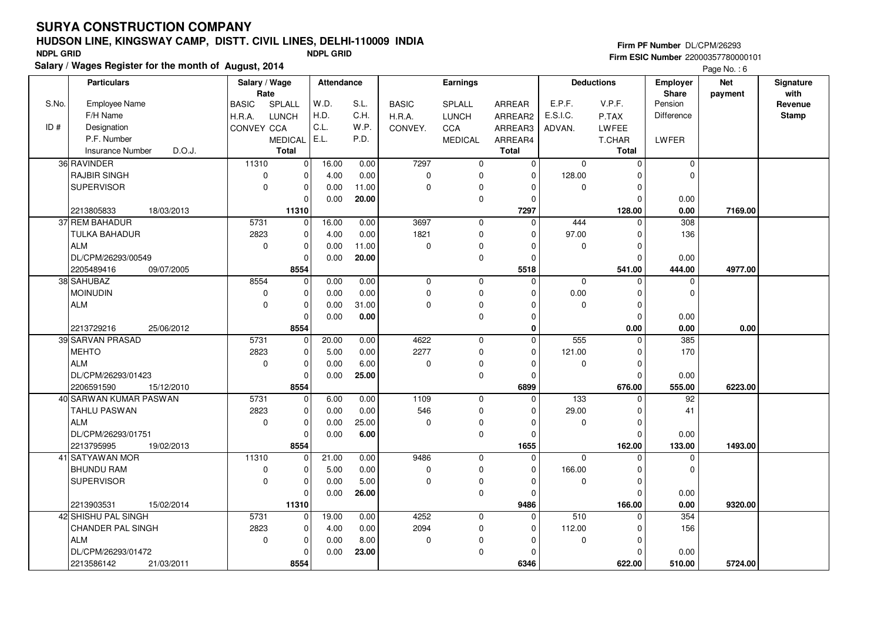# **HUDSON LINE, KINGSWAY CAMP, DISTT. CIVIL LINES, DELHI-110009 INDIA**

**Salary / Wages Register for the month of August, 2014 NDPL GRID NDPL GRID**

|       | <b>Particulars</b>                | Salary / Wage<br>Rate  |                | <b>Attendance</b> |       |              | <b>Earnings</b> |                |             | <b>Deductions</b> | <b>Employer</b><br><b>Share</b> | <b>Net</b><br>payment | Signature<br>with |
|-------|-----------------------------------|------------------------|----------------|-------------------|-------|--------------|-----------------|----------------|-------------|-------------------|---------------------------------|-----------------------|-------------------|
| S.No. | <b>Employee Name</b>              | SPLALL<br><b>BASIC</b> |                | W.D.              | S.L.  | <b>BASIC</b> | SPLALL          | ARREAR         | E.P.F.      | V.P.F.            | Pension                         |                       | Revenue           |
|       | F/H Name                          | H.R.A.<br><b>LUNCH</b> |                | H.D.              | C.H.  | H.R.A.       | <b>LUNCH</b>    | ARREAR2        | E.S.I.C.    | P.TAX             | <b>Difference</b>               |                       | Stamp             |
| ID#   | Designation                       | CONVEY CCA             |                | C.L.              | W.P.  | CONVEY.      | CCA             | ARREAR3        | ADVAN.      | LWFEE             |                                 |                       |                   |
|       | P.F. Number                       | <b>MEDICAL</b>         |                | E.L.              | P.D.  |              | <b>MEDICAL</b>  | ARREAR4        |             | T.CHAR            | LWFER                           |                       |                   |
|       | <b>Insurance Number</b><br>D.O.J. | <b>Total</b>           |                |                   |       |              |                 | <b>Total</b>   |             | <b>Total</b>      |                                 |                       |                   |
|       | 36 RAVINDER                       | 11310                  | $\mathbf 0$    | 16.00             | 0.00  | 7297         | $\mathbf 0$     | $\mathbf 0$    | $\mathbf 0$ | $\mathbf 0$       | $\mathbf 0$                     |                       |                   |
|       | <b>RAJBIR SINGH</b>               | 0                      | $\mathbf 0$    | 4.00              | 0.00  | $\mathbf 0$  | 0               | $\Omega$       | 128.00      | $\mathbf 0$       | 0                               |                       |                   |
|       | <b>SUPERVISOR</b>                 | $\Omega$               | $\Omega$       | 0.00              | 11.00 | $\Omega$     | $\mathbf 0$     | $\Omega$       | $\Omega$    | $\mathbf 0$       |                                 |                       |                   |
|       |                                   |                        | $\Omega$       | 0.00              | 20.00 |              | 0               | $\overline{0}$ |             | $\mathbf 0$       | 0.00                            |                       |                   |
|       | 2213805833<br>18/03/2013          |                        | 11310          |                   |       |              |                 | 7297           |             | 128.00            | 0.00                            | 7169.00               |                   |
|       | 37 REM BAHADUR                    | 5731                   | $\mathbf 0$    | 16.00             | 0.00  | 3697         | $\mathbf 0$     | $\mathbf 0$    | 444         | $\mathbf 0$       | 308                             |                       |                   |
|       | TULKA BAHADUR                     | 2823                   | $\mathbf 0$    | 4.00              | 0.00  | 1821         | $\mathbf 0$     | $\overline{0}$ | 97.00       | $\Omega$          | 136                             |                       |                   |
|       | <b>ALM</b>                        | $\Omega$               | $\mathbf 0$    | 0.00              | 11.00 | $\mathbf 0$  | 0               | $\overline{0}$ | $\Omega$    | $\mathbf 0$       |                                 |                       |                   |
|       | DL/CPM/26293/00549                |                        | $\Omega$       | 0.00              | 20.00 |              | $\mathbf 0$     | $\overline{0}$ |             | $\Omega$          | 0.00                            |                       |                   |
|       | 2205489416<br>09/07/2005          |                        | 8554           |                   |       |              |                 | 5518           |             | 541.00            | 444.00                          | 4977.00               |                   |
|       | 38 SAHUBAZ                        | 8554                   | $\overline{0}$ | 0.00              | 0.00  | $\mathbf 0$  | $\mathbf 0$     | $\Omega$       | $\mathbf 0$ | $\mathbf 0$       | 0                               |                       |                   |
|       | <b>MOINUDIN</b>                   | $\mathbf 0$            | $\mathbf 0$    | 0.00              | 0.00  | $\mathbf 0$  | $\mathbf 0$     | $\Omega$       | 0.00        | $\mathbf 0$       | $\Omega$                        |                       |                   |
|       | <b>ALM</b>                        | $\Omega$               | $\mathbf 0$    | 0.00              | 31.00 | $\Omega$     | 0               | $\Omega$       | $\mathbf 0$ | $\mathbf 0$       |                                 |                       |                   |
|       |                                   |                        | $\mathbf 0$    | 0.00              | 0.00  |              | 0               | 0              |             | $\mathbf 0$       | 0.00                            |                       |                   |
|       | 2213729216<br>25/06/2012          |                        | 8554           |                   |       |              |                 | $\Omega$       |             | 0.00              | 0.00                            | 0.00                  |                   |
|       | 39 SARVAN PRASAD                  | 5731                   | 0              | 20.00             | 0.00  | 4622         | $\mathbf 0$     | $\Omega$       | 555         | $\mathbf 0$       | 385                             |                       |                   |
|       | <b>MEHTO</b>                      | 2823                   | $\Omega$       | 5.00              | 0.00  | 2277         | 0               | $\Omega$       | 121.00      | $\mathbf 0$       | 170                             |                       |                   |
|       | <b>ALM</b>                        | $\mathbf 0$            | $\mathbf 0$    | 0.00              | 6.00  | $\mathbf 0$  | $\Omega$        | $\overline{0}$ | $\mathbf 0$ | $\mathbf 0$       |                                 |                       |                   |
|       | DL/CPM/26293/01423                |                        | $\mathbf 0$    | 0.00              | 25.00 |              | $\mathbf 0$     | $\overline{0}$ |             | $\mathbf 0$       | 0.00                            |                       |                   |
|       | 2206591590<br>15/12/2010          |                        | 8554           |                   |       |              |                 | 6899           |             | 676.00            | 555.00                          | 6223.00               |                   |
|       | 40 SARWAN KUMAR PASWAN            | 5731                   | $\mathbf 0$    | 6.00              | 0.00  | 1109         | $\mathbf 0$     | $\Omega$       | 133         | $\Omega$          | 92                              |                       |                   |
|       | TAHLU PASWAN                      | 2823                   | $\mathbf 0$    | 0.00              | 0.00  | 546          | 0               | $\overline{0}$ | 29.00       | $\mathbf 0$       | 41                              |                       |                   |
|       | <b>ALM</b>                        | $\mathbf 0$            | $\mathbf 0$    | 0.00              | 25.00 | $\mathbf 0$  | $\Omega$        | $\Omega$       | $\mathbf 0$ | $\mathbf 0$       |                                 |                       |                   |
|       | DL/CPM/26293/01751                |                        | $\Omega$       | 0.00              | 6.00  |              | 0               | $\Omega$       |             | $\Omega$          | 0.00                            |                       |                   |
|       | 2213795995<br>19/02/2013          |                        | 8554           |                   |       |              |                 | 1655           |             | 162.00            | 133.00                          | 1493.00               |                   |
|       | 41 SATYAWAN MOR                   | 11310                  | $\Omega$       | 21.00             | 0.00  | 9486         | $\mathbf 0$     | $\Omega$       | $\mathbf 0$ | $\mathbf 0$       | 0                               |                       |                   |
|       | <b>BHUNDU RAM</b>                 | $\pmb{0}$              | $\mathbf 0$    | 5.00              | 0.00  | $\mathbf 0$  | $\mathbf 0$     | $\overline{0}$ | 166.00      | $\mathbf 0$       | 0                               |                       |                   |
|       | <b>SUPERVISOR</b>                 | $\mathbf 0$            | 0              | 0.00              | 5.00  | $\mathbf 0$  | 0               | $\overline{0}$ | 0           | $\mathbf 0$       |                                 |                       |                   |
|       |                                   |                        | $\Omega$       | 0.00              | 26.00 |              | 0               | $\Omega$       |             | $\Omega$          | 0.00                            |                       |                   |
|       | 2213903531<br>15/02/2014          |                        | 11310          |                   |       |              |                 | 9486           |             | 166.00            | 0.00                            | 9320.00               |                   |
|       | 42 SHISHU PAL SINGH               | 5731                   | $\overline{0}$ | 19.00             | 0.00  | 4252         | $\mathbf 0$     | $\mathbf 0$    | 510         | $\mathbf 0$       | 354                             |                       |                   |
|       | CHANDER PAL SINGH                 | 2823                   | $\mathbf 0$    | 4.00              | 0.00  | 2094         | 0               | $\overline{0}$ | 112.00      | $\mathbf 0$       | 156                             |                       |                   |
|       | <b>ALM</b>                        | $\mathbf 0$            | $\mathbf 0$    | 0.00              | 8.00  | $\mathbf 0$  | $\mathbf 0$     | $\overline{0}$ | $\mathbf 0$ | $\Omega$          |                                 |                       |                   |
|       | DL/CPM/26293/01472                |                        | $\Omega$       | 0.00              | 23.00 |              | 0               | $\Omega$       |             | $\Omega$          | 0.00                            |                       |                   |
|       | 2213586142<br>21/03/2011          |                        | 8554           |                   |       |              |                 | 6346           |             | 622.00            | 510.00                          | 5724.00               |                   |

 $P$ age No.  $\cdot$  6